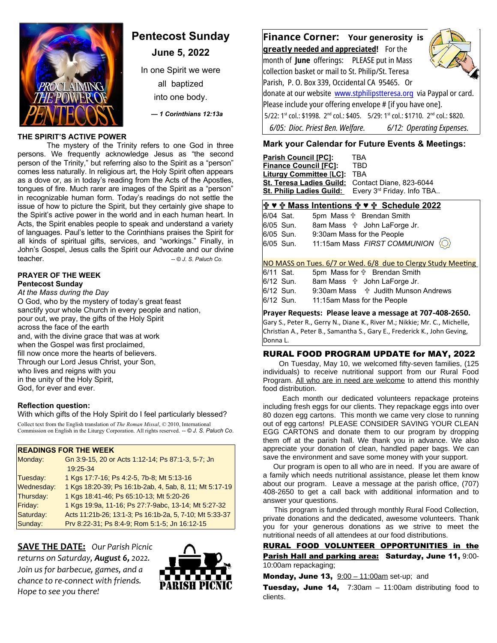

# **Pentecost Sunday**

**June 5, 2022**

In one Spirit we were

all baptized into one body.

 *— 1 Corinthians 12:13a*

# **THE SPIRIT'S ACTIVE POWER**

The mystery of the Trinity refers to one God in three persons. We frequently acknowledge Jesus as "the second person of the Trinity," but referring also to the Spirit as a "person" comes less naturally. In religious art, the Holy Spirit often appears as a dove or, as in today's reading from the Acts of the Apostles, tongues of fire. Much rarer are images of the Spirit as a "person" in recognizable human form. Today's readings do not settle the issue of how to picture the Spirit, but they certainly give shape to the Spirit's active power in the world and in each human heart. In Acts, the Spirit enables people to speak and understand a variety of languages. Paul's letter to the Corinthians praises the Spirit for all kinds of spiritual gifts, services, and "workings." Finally, in John's Gospel, Jesus calls the Spirit our Advocate and our divine teacher. *-- © J. S. Paluch Co*.

#### **PRAYER OF THE WEEK Pentecost Sunday**

*At the Mass during the Day* O God, who by the mystery of today's great feast sanctify your whole Church in every people and nation, pour out, we pray, the gifts of the Holy Spirit across the face of the earth and, with the divine grace that was at work when the Gospel was first proclaimed, fill now once more the hearts of believers. Through our Lord Jesus Christ, your Son, who lives and reigns with you in the unity of the Holy Spirit, God, for ever and ever.

# **Reflection question:**

With which gifts of the Holy Spirit do I feel particularly blessed?

Collect text from the English translation of *The Roman Missal*, © 2010, International Commission on English in the Liturgy Corporation. All rights reserved. *-- © J. S. Paluch Co*.

# **READINGS FOR THE WEEK**

| Monday:    | Gn 3:9-15, 20 or Acts 1:12-14; Ps 87:1-3, 5-7; Jn<br>19:25-34 |
|------------|---------------------------------------------------------------|
| Tuesday:   | 1 Kgs 17:7-16, Ps 4:2-5, 7b-8; Mt 5:13-16                     |
| Wednesday: | 1 Kgs 18:20-39; Ps 16:1b-2ab, 4, 5ab, 8, 11; Mt 5:17-19       |
| Thursday:  | 1 Kgs 18:41-46; Ps 65:10-13; Mt 5:20-26                       |
| Friday:    | 1 Kgs 19:9a, 11-16; Ps 27:7-9abc, 13-14; Mt 5:27-32           |
| Saturday:  | Acts 11:21b-26; 13:1-3; Ps 16:1b-2a, 5, 7-10; Mt 5:33-37      |
| Sunday:    | Prv 8:22-31, Ps 8:4-9, Rom 5:1-5, Jn 16:12-15                 |

**SAVE THE DATE:** *Our Parish Picnic returns on Saturday, August 6, 2022. Join us for barbecue, games, and a chance to re-connect with friends. Hope to see you there!*



**Finance Corner: Your generosity is greatl y needed and appreciated!** For the month of **June** offerings: PLEASE put in Mass collection basket or mail to St. Philip/St. Teresa Parish, P. O. Box 339, Occidental CA 95465. Or donate at our website [www.stphilipstteresa.org](http://www.stphilipstteresa.org/) via Paypal or card. Please include your offering envelope # [if you have one].  $5/22$ : 1st col.: \$1998.  $2^{nd}$  col.: \$405.  $5/29$ : 1st col.: \$1710.  $2^{nd}$  col.: \$820.  *6/05: Dioc. Priest Ben. Welfare. 6/12: Operating Expenses.* 

# **Mark your Calendar for Future Events & Meetings:**

| <b>Parish Council [PC]:</b>     | TRA                        |
|---------------------------------|----------------------------|
| <b>Finance Council [FC]:</b>    | TRD                        |
| <b>Liturgy Committee [LC]:</b>  | TRA                        |
| <b>St. Teresa Ladies Guild:</b> | Contact Diane, 823-6044    |
| <b>St. Philip Ladies Guild:</b> | Every 3rd Friday. Info TBA |

# **♥ Mass Intentions ♥ Schedule 2022**

6/04 Sat. 5pm Mass **f** Brendan Smith 6/05 Sun. 8am Mass John LaForge Jr. 6/05 Sun. 9:30am Mass for the People<br>6/05 Sun. 11:15am Mass FIRST COM 6/05 Sun. 11:15am Mass *FIRST COMMUNION*

NO MASS on Tues. 6/7 or Wed. 6/8 due to Clergy Study Meeting

| 6/11 Sat. |  | 5pm Mass for $\oplus$ Brendan Smith             |
|-----------|--|-------------------------------------------------|
| 6/12 Sun. |  | 8am Mass $\forall$ John LaForge Jr.             |
| 6/12 Sun. |  | 9:30am Mass $\frac{4}{3}$ Judith Munson Andrews |

6/12 Sun. 11:15am Mass for the People

**Prayer Requests: Please leave a message at 707-408-2650.** 

Gary S., Peter R., Gerry N., Diane K., River M.; Nikkie; Mr. C., Michelle, Christian A., Peter B., Samantha S., Gary E., Frederick K., John Geving, Donna L.

#### RURAL FOOD PROGRAM UPDATE for MAY, 2022

 On Tuesday, May 10, we welcomed fifty-seven families, (125 individuals) to receive nutritional support from our Rural Food Program. All who are in need are welcome to attend this monthly food distribution.

 Each month our dedicated volunteers repackage proteins including fresh eggs for our clients. They repackage eggs into over 80 dozen egg cartons. This month we came very close to running out of egg cartons! PLEASE CONSIDER SAVING YOUR CLEAN EGG CARTONS and donate them to our program by dropping them off at the parish hall. We thank you in advance. We also appreciate your donation of clean, handled paper bags. We can save the environment and save some money with your support.

 Our program is open to all who are in need. If you are aware of a family which needs nutritional assistance, please let them know about our program. Leave a message at the parish office, (707) 408-2650 to get a call back with additional information and to answer your questions.

 This program is funded through monthly Rural Food Collection, private donations and the dedicated, awesome volunteers. Thank you for your generous donations as we strive to meet the nutritional needs of all attendees at our food distributions.

RURAL FOOD VOLUNTEER OPPORTUNITIES in the Parish Hall and parking area: Saturday, June 11, 9:00-10:00am repackaging;

Monday, June 13,  $9:00 - 11:00$ am set-up; and

**Tuesday, June 14,**  $7:30am - 11:00am$  distributing food to clients.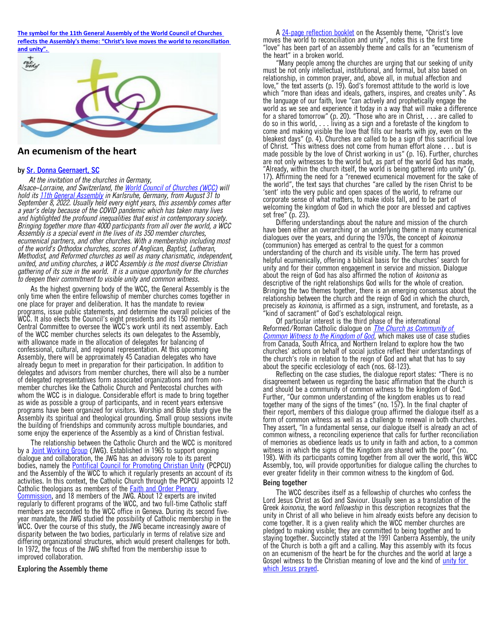**[The symbol for the 11th General Assembly of the World Council of Churches](https://slmedia.org/blog/an-ecumenism-of-the-heart-one-body)  [reflects the Assembly's theme: "Christ's love moves the world to reconciliation](https://slmedia.org/blog/an-ecumenism-of-the-heart-one-body)** 



# **An ecumenism of the heart**

#### **by [Sr. Donna Geernaert, SC](https://slmedia.org/blog/an-ecumenism-of-the-heart-one-body)**

 *At the invitation of the churches in Germany, Alsace Lorraine, and Switzerland, the – [World Council of Churches \(WCC\)](https://www.oikoumene.org/) will hold its [11th General Assembly](https://www.oikoumene.org/about-the-wcc/organizational-structure/assembly) in Karlsruhe, Germany, from August 31 to September 8, 2022. Usually held every eight years, this assembly comes after a year s delay because of the COVID pandemic which has taken many lives ' and highlighted the profound inequalities that exist in contemporary society. Bringing together more than 4000 participants from all over the world, a WCC Assembly is a special event in the lives of its 350 member churches, ecumenical partners, and other churches. With a membership including most of the world s Orthodox churches, scores of Anglican, Baptist, Lutheran, ' Methodist, and Reformed churches as well as many charismatic, independent, united, and uniting churches, a WCC Assembly is the most diverse Christian gathering of its size in the world. It is a unique opportunity for the churches to deepen their commitment to visible unity and common witness.* 

 As the highest governing body of the WCC, the General Assembly is the only time when the entire fellowship of member churches comes together in one place for prayer and deliberation. It has the mandate to review programs, issue public statements, and determine the overall policies of the WCC. It also elects the Council's eight presidents and its 150 member Central Committee to oversee the WCC's work until its next assembly. Each of the WCC member churches selects its own delegates to the Assembly, with allowance made in the allocation of delegates for balancing of confessional, cultural, and regional representation. At this upcoming Assembly, there will be approximately 45 Canadian delegates who have already begun to meet in preparation for their participation. In addition to delegates and advisors from member churches, there will also be a number of delegated representatives form associated organizations and from nonmember churches like the Catholic Church and Pentecostal churches with whom the WCC is in dialogue. Considerable effort is made to bring together as wide as possible a group of participants, and in recent years extensive programs have been organized for visitors. Worship and Bible study give the Assembly its spiritual and theological grounding. Small group sessions invite the building of friendships and community across multiple boundaries, and some enjoy the experience of the Assembly as a kind of Christian festival.

 The relationship between the Catholic Church and the WCC is monitored by a **[Joint Working Group](https://www.oikoumene.org/what-we-do/church-and-ecumenical-relations/joint-working-group-with-the-roman-catholic-church) (JWG)**. Established in 1965 to support ongoing dialogue and collaboration, the JWG has an advisory role to its parent bodies, namely the **[Pontifical Council for Promoting Christian Unity](http://www.christianunity.va/content/unitacristiani/en.html)** (PCPCU) and the Assembly of the WCC to which it regularly presents an account of its activities. In this context, the Catholic Church through the PCPCU appoints 12 Catholic theologians as members of the **Faith and Order Plenary** [Commission](https://www.oikoumene.org/what-we-do/faith-and-order-commission), and 18 members of the JWG. About 12 experts are invited regularly to different programs of the WCC, and two full-time Catholic staff members are seconded to the WCC office in Geneva. During its second fiveyear mandate, the JWG studied the possibility of Catholic membership in the WCC. Over the course of this study, the JWG became increasingly aware of disparity between the two bodies, particularly in terms of relative size and differing organizational structures, which would present challenges for both. In 1972, the focus of the JWG shifted from the membership issue to improved collaboration.

#### **Exploring the Assembly theme**

A [24-page reflection booklet](http://www.oikoumene.org/sites/default/files/2021-01/ENG_WCC_2022Assembly_Booklet_PAGESH.pdf) on the Assembly theme, "Christ's love moves the world to reconciliation and unity", notes this is the first time " love" has been part of an assembly theme and calls for an "ecumenism of the heart" in a broken world.

 Many people among the churches are urging that our seeking of unity " must be not only intellectual, institutional, and formal, but also based on relationship, in common prayer, and, above all, in mutual affection and love," the text asserts (p. 19). God's foremost attitude to the world is love which "more than ideas and ideals, gathers, inspires, and creates unity". As the language of our faith, love "can actively and prophetically engage the world as we see and experience it today in a way that will make a difference for a shared tomorrow" (p. 20). "Those who are in Christ, . . . are called to do so in this world, . . . living as a sign and a foretaste of the kingdom to come and making visible the love that fills our hearts with joy, even on the bleakest days" (p. 4). Churches are called to be a sign of this sacrificial love of Christ. "This witness does not come from human effort alone . . . but is made possible by the love of Christ working in us" (p. 16). Further, churches are not only witnesses to the world but, as part of the world God has made, "Already, within the church itself, the world is being gathered into unity" (p. 17). Affirming the need for a "renewed ecumenical movement for the sake of the world", the text says that churches "are called by the risen Christ to be 'sent' into the very public and open spaces of the world, to reframe our corporate sense of what matters, to make idols fall, and to be part of welcoming the kingdom of God in which the poor are blessed and captives set free"  $(p. 23)$ .

 Differing understandings about the nature and mission of the church have been either an overarching or an underlying theme in many ecumenical dialogues over the years, and during the 1970s, the concept of *koinonia* (communion) has emerged as central to the quest for a common understanding of the church and its visible unity. The term has proved helpful ecumenically, offering a biblical basis for the churches' search for unity and for their common engagement in service and mission. Dialogue about the reign of God has also affirmed the notion of *koinonia* as descriptive of the right relationships God wills for the whole of creation. Bringing the two themes together, there is an emerging consensus about the relationship between the church and the reign of God in which the church, precisely as *koinonia*, is affirmed as a sign, instrument, and foretaste, as a 'kind of sacrament" of God's eschatological reign.

 Of particular interest is the third phase of the international Reformed/Roman Catholic dialogue on *[The Church as Community of](http://www.prounione.urbe.it/dia-int/r-rc/doc/e_r-rc_3-1.html)  [Common Witness to the Kingdom of God](http://www.prounione.urbe.it/dia-int/r-rc/doc/e_r-rc_3-1.html)*, which makes use of case studies from Canada, South Africa, and Northern Ireland to explore how the two churches' actions on behalf of social justice reflect their understandings of the church's role in relation to the reign of God and what that has to say about the specific ecclesiology of each (nos. 68-123).

Reflecting on the case studies, the dialogue report states: "There is no disagreement between us regarding the basic affirmation that the church is and should be a community of common witness to the kingdom of God. " Further, "Our common understanding of the kingdom enables us to read together many of the signs of the times" (no. 157). In the final chapter of their report, members of this dialogue group affirmed the dialogue itself as a form of common witness as well as a challenge to renewal in both churches. They assert, "In a fundamental sense, our dialogue itself is already an act of common witness, a reconciling experience that calls for further reconciliation of memories as obedience leads us to unity in faith and action, to a common witness in which the signs of the Kingdom are shared with the poor" (no. 198). With its participants coming together from all over the world, this WCC Assembly, too, will provide opportunities for dialogue calling the churches to ever greater fidelity in their common witness to the kingdom of God.

#### **Being together**

 The WCC describes itself as a fellowship of churches who confess the Lord Jesus Christ as God and Saviour. Usually seen as a translation of the Greek *koinonia*, the word *fellowship* in this description recognizes that the unity in Christ of all who believe in him already exists before any decision to come together. It is a given reality which the WCC member churches are pledged to making visible; they are committed to being together and to staying together. Succinctly stated at the 1991 Canberra Assembly, the unity of the Church is both a gift and a calling. May this assembly with its focus on an ecumenism of the heart be for the churches and the world at large a Gospel witness to the Christian meaning of love and the kind of unity for [which Jesus prayed.](https://slmedia.org/blog/one-body-jesus-prayer-for-unity)